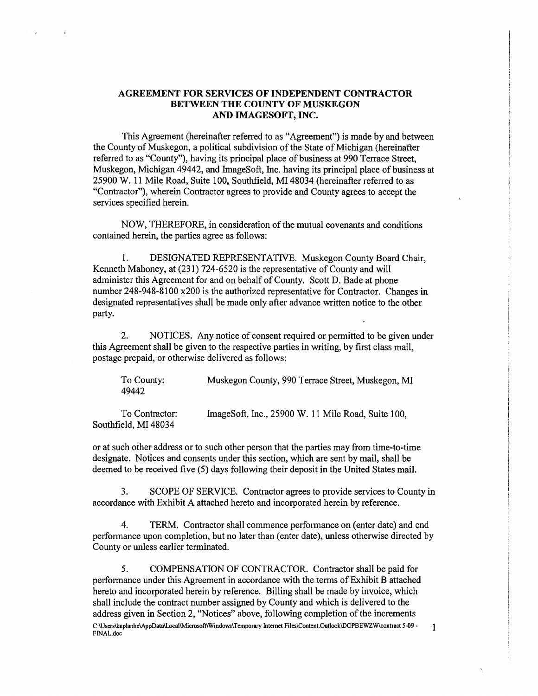# AGREEMENT FOR SERVICES OF INDEPENDENT CONTRACTOR BETWEEN THE COUNTY OF MUSKEGON AND IMAGESOFT, INC.

This Agreement (hereinafter referred to as "Agreement") is made by and between the County of Muskegon, a political subdivision of the State of Michigan (hereinafter referred to as "County"), having its principal place of business at 990 Terrace Street, Muskegon, Michigan 49442, and ImageSoft, Inc. having its principal place of business at 25900 W. 11 Mile Road, Suite 100, Southfield, MI 48034 (hereinafter refened to as "Contractor"), wherein Contractor agrees to provide and County agrees to accept the services specified herein.

NOW, THEREFORE, in consideration of the mutual covenants and conditions contained herein, the parties agree as follows:

1. DESIGNATED REPRESENTATIVE. Muskegon County Board Chair, Kenneth Mahoney, at (231) 724-6520 is the representative of County and will administer this Agreement for and on behalf of County. Scott D. Bade at phone number 248-948-8100 x200 is the authorized representative for Contractor. Changes in designated representatives shall be made only after advance written notice to the other party.

2. NOTICES. Any notice of consent required or permitted to be given under this Agreement shall be given to the respective parties in writing, by first class mail, postage prepaid, or otherwise delivered as follows:

To County: 49442 Muskegon County, 990 Terrace Street, Muskegon, MI

To Contractor: Southfield, MI 48034 ImageSoft, Inc., 25900 W. 11 Mile Road, Suite 100,

or at such other address or to such other person that the parties may from time-to-time designate. Notices and consents under this section, which are sent by mail, shall be deemed to be received five (5) days following their deposit in the United States mail.

3. SCOPE OF SERVICE. Contractor agrees to provide services to County in accordance with Exhibit A attached hereto and incorporated herein by reference.

4. TERM. Contractor shall commence performance on (enter date) and end performance upon completion, but no later than (enter date), unless otherwise directed by County or unless earlier terminated.

5. COMPENSATION OF CONTRACTOR. Contractor shall be paid for performance under this Agreement in accordance with the terms of Exhibit B attached hereto and incorporated herein by reference. Billing shall be made by invoice, which shall include the contract number assigned by County and which is delivered to the address given in Section 2, "Notices" above, following completion of the increments C:\Users\kaplanhe\AppData\Local\Microsoft\Windows\Temporary Internet Files\Content.Outlook\DOPBEWZW\contract 5-09 • 1 FINAL.doc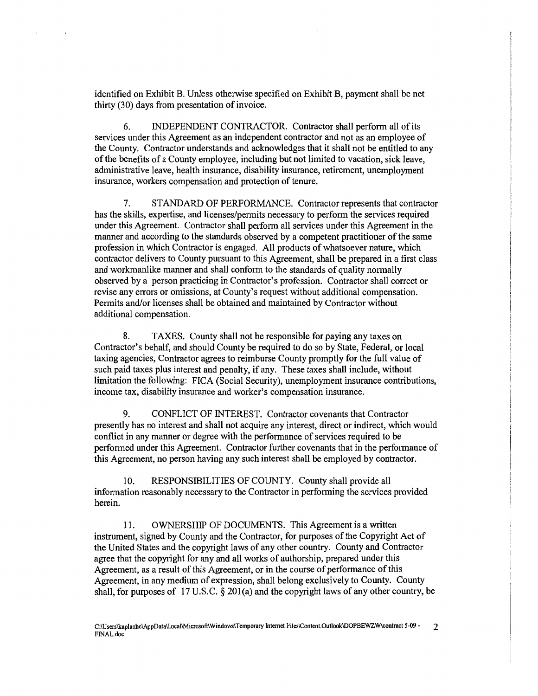identified on Exhibit B. Unless otherwise specified on Exhibit B, payment shall be net thirty (30) days from presentation of invoice.

6. INDEPENDENT CONTRACTOR. Contractor shall perform all of its services under this Agreement as an independent contractor and not as an employee of the County. Contractor understands and acknowledges that it shall not be entitled to any of the benefits of a County employee, including but not limited to vacation, sick leave, administrative leave, health insurance, disability insurance, retirement, unemployment insurance, workers compensation and protection of tenure.

7. ST AND ARD OF PERFORMANCE. Contractor represents that contractor has the skills, expertise, and licenses/permits necessary to perform the services required under this Agreement. Contractor shall perform all services under this Agreement in the manner and according to the standards observed by a competent practitioner of the same profession in which Contractor is engaged. All products of whatsoever nature, which contractor delivers to County pursuant to this Agreement, shall be prepared in a first class and workmanlike manner and shall conform to the standards of quality normally observed by a person practicing in Contractor's profession. Contractor shall correct or revise any errors or omissions, at County's request without additional compensation. Permits and/or licenses shall be obtained and maintained by Contractor without additional compensation.

8. TAXES. County shall not be responsible for paying any taxes on Contractor's behalf, and should County be required to do so by State, Federal, or local taxing agencies, Contractor agrees to reimburse County promptly for the full value of such paid taxes plus interest and penalty, if any. These taxes shall include, without limitation the following: FICA (Social Security), unemployment insurance contributions, income tax, disability insurance and worker's compensation insurance.

9. CONFLICT OF INTEREST. Contractor covenants that Contractor presently has no interest and shall not acquire any interest, direct or indirect, which would conflict in any manner or degree with the performance of services required to be performed under this Agreement. Contractor further covenants that in the performance of this Agreement, no person having any such interest shall be employed by contractor.

RESPONSIBILITIES OF COUNTY. County shall provide all information reasonably necessary to the Contractor in performing the services provided herein.

11. OWNERSHIP OF DOCUMENTS. This Agreement is a written instrument, signed by County and the Contractor, for purposes of the Copyright Act of the United States and the copyright laws of any other country. County and Contractor agree that the copyright for any and all works of authorship, prepared under this Agreement, as a result of this Agreement, or in the course of performance of this Agreement, in any medium of expression, shall belong exclusively to County. County shall, for purposes of 17 U.S.C.  $\S$  201(a) and the copyright laws of any other country, be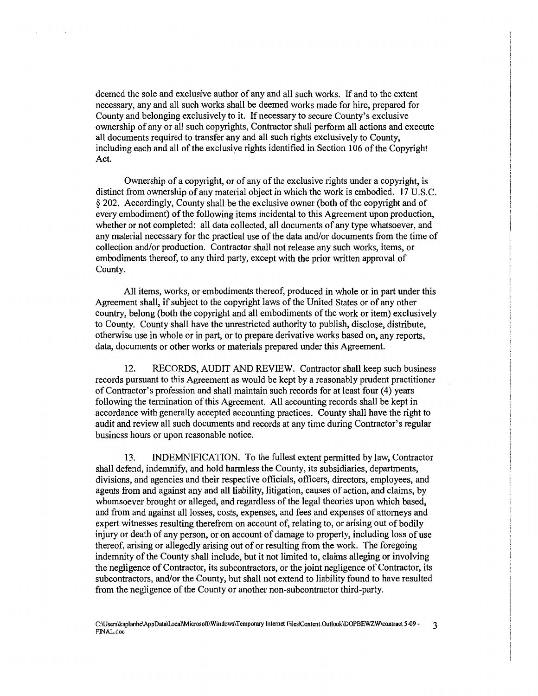deemed the sole and exclusive author of any and all such works. If and to the extent necessary, any and all such works shall be deemed works made for hire, prepared for County and belonging exclusively to it. If necessary to secure County's exclusive ownership of any or all such copyrights, Contractor shall perform all actions and execute all documents required to transfer any and all such rights exclusively to County, including each and all of the exclusive rights identified in Section I 06 of the Copyright Act.

Ownership of a copyright, or of any of the exclusive rights under a copyright, is distinct from ownership of any material object in which the work is embodied. 17 U.S.C. § 202. Accordingly, County shall be the exclusive owner (both of the copyright and of every embodiment) of the following items incidental to this Agreement upon production, whether or not completed: all data collected, all documents of any type whatsoever, and any material necessary for the practical use of the data and/or documents from the time of collection and/or production. Contractor shall not release any such works, items, or embodiments thereof, to any third party, except with the prior written approval of County.

All items, works, or embodiments thereof, produced in whole or in part under this Agreement shall, if subject to the copyright laws of the United States or of any other country, belong (both the copyright and all embodiments of the work or item) exclusively to County. County shall have the unrestricted authority to publish, disclose, distribute, otherwise use in whole or in part, or to prepare derivative works based on, any reports, data, documents or other works or materials prepared under this Agreement.

12. RECORDS, AUDIT AND REVIEW. Contractor shall keep such business records pursuant to this Agreement as would be kept by a reasonably prudent practitioner of Contractor's profession and shall maintain such records for at least four ( 4) years following the termination of this Agreement. All accounting records shall be kept in accordance with generally accepted accounting practices. County shall have the right to audit and review all such documents and records at any time during Contractor's regular business hours or upon reasonable notice.

13. INDEMNIFICATION. To the fullest extent permitted by law, Contractor shall defend, indemnify, and hold harmless the County, its subsidiaries, departments, divisions, and agencies and their respective officials, officers, directors, employees, and agents from and against any and all liability, litigation, causes of action, and claims, by whomsoever brought or alleged, and regardless of the legal theories upon which based, and from and against all losses, costs, expenses, and fees and expenses of attorneys and expert witnesses resulting therefrom on account of, relating to, or arising out of bodily injury or death of any person, or on account of damage to property, including loss of use thereof, arising or allegedly arising out of or resulting from the work. The foregoing indemnity of the County shall include, but it not limited to, claims alleging or involving the negligence of Contractor, its subcontractors, or the joint negligence of Contractor, its subcontractors, and/or the County, but shall not extend to liability found to have resulted from the negligence of the County or another non-subcontractor third-party.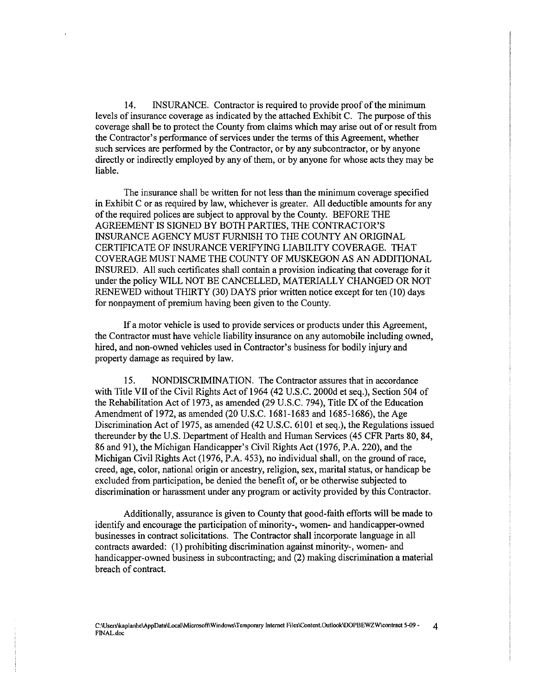14. INSURANCE. Contractor is required to provide proof of the minimum levels of insurance coverage as indicated by the attached Exhibit C. The purpose of this coverage shall be to protect the County from claims which may arise out of or result from the Contractor's performance of services under the terms of this Agreement, whether such services are performed by the Contractor, or by any subcontractor, or by anyone directly or indirectly employed by any of them, or by anyone for whose acts they may be liable.

The insurance shall be written for not less than the minimum coverage specified in Exhibit C or as required by law, whichever is greater. All deductible amounts for any of the required polices are subject to approval by the County. BEFORE THE AGREEMENT IS SIGNED BY BOTH PARTIES, THE CONTRACTOR'S INSURANCE AGENCY MUST FURNISH TO THE COUNTY AN ORIGINAL CERTIFICATE OF INSURANCE VERIFYING LIABILITY COVERAGE. THAT COVERAGE MUST NAME THE COUNTY OF MUSKEGON AS AN ADDITIONAL INSURED. All such certificates shall contain a provision indicating that coverage for it under the policy WILL NOT BE CANCELLED, MATERIALLY CHANGED OR NOT RENEWED without THIRTY (30) DAYS prior written notice except for ten (10) days for nonpayment of premium having been given to the County.

If a motor vehicle is used to provide services or products under this Agreement, the Contractor must have vehicle liability insurance on any automobile including owned, hired, and non-owned vehicles used in Contractor's business for bodily injury and property damage as required by law.

15. NONDISCRIMINATION. The Contractor assures that in accordance with Title VII of the Civil Rights Act of 1964 (42 U.S.C. 2000d et seq.), Section 504 of the Rehabilitation Act of 1973, as amended (29 U.S.C. 794), Title IX of the Education Amendment of 1972, as amended (20 U.S.C. 1681-1683 and 1685-1686), the Age Discrimination Act of 1975, as amended (42 U.S.C. 6101 et seq.), the Regulations issued thereunder by the U.S. Department of Health and Human Services (45 CFR Parts 80, 84, 86 and 91), the Michigan Handicapper's Civil Rights Act (1976, P.A. 220), and the Michigan Civil Rights Act (1976, P.A. 453), no individual shall, on the ground ofrace, creed, age, color, national origin or ancestry, religion, sex, marital status, or handicap be excluded from participation, be denied the benefit of, or be otherwise subjected to discrimination or harassment under any program or activity provided by this Contractor.

Additionally, assurance is given to County that good-faith efforts will be made to identify and encourage the participation of minority-, women- and handicapper-owned businesses in contract solicitations. The Contractor shall incorporate language in all contracts awarded: (1) prohibiting discrimination against minority-, women- and handicapper-owned business in subcontracting; and (2) making discrimination a material breach of contract.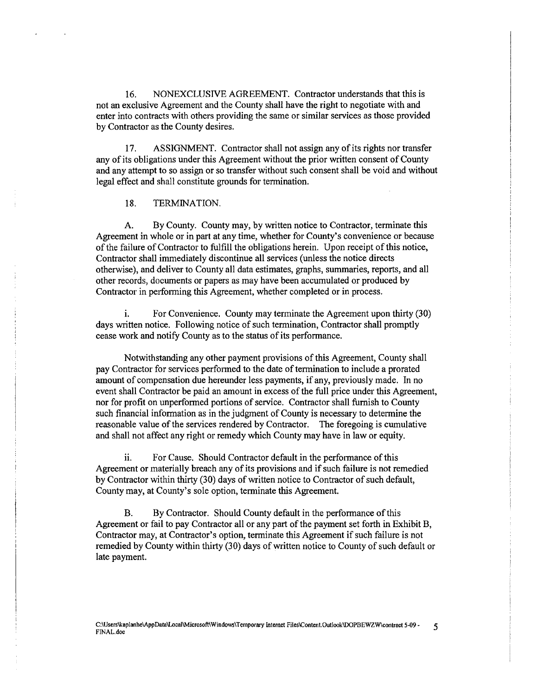16. NONEXCLUSIVE AGREEMENT. Contractor understands that this is not an exclusive Agreement and the County shall have the right to negotiate with and enter into contracts with others providing the same or similar services as those provided by Contractor as the County desires.

17. ASSIGNMENT. Contractor shall not assign any of its rights nor transfer any of its obligations under this Agreement without the prior written consent of County and any attempt to so assign or so transfer without such consent shall be void and without legal effect and shall constitute grounds for termination.

### 18. TERMINATION.

A. By County. County may, by written notice to Contractor, terminate this Agreement in whole or in part at any time, whether for County's convenience or because of the failure of Contractor to fulfill the obligations herein. Upon receipt of this notice, Contractor shall immediately discontinue all services (unless the notice directs otherwise), and deliver to County all data estimates, graphs, summaries, reports, and all other records, documents or papers as may have been accumulated or produced by Contractor in performing this Agreement, whether completed or in process.

i. For Convenience. County may terminate the Agreement upon thirty (30) days written notice. Following notice of such termination, Contractor shall promptly cease work and notify County as to the status of its performance.

Notwithstanding any other payment provisions of this Agreement, County shall pay Contractor for services performed to the date of termination to include a prorated amount of compensation due hereunder less payments, if any, previously made. In no event shall Contractor be paid an amount in excess of the full price under this Agreement, nor for profit on unperformed portions of service. Contractor shall furnish to County such financial information as in the judgment of County is necessary to determine the reasonable value of the services rendered by Contractor. The foregoing is cumulative and shall not affect any right or remedy which County may have in law or equity.

ii. For Cause. Should Contractor default in the performance of this Agreement or materially breach any of its provisions and if such failure is not remedied by Contractor within thirty (30) days of written notice to Contractor of such default, County may, at County's sole option, terminate this Agreement.

B. By Contractor. Should County default in the performance of this Agreement or fail to pay Contractor all or any part of the payment set forth in Exhibit B, Contractor may, at Contractor's option, terminate this Agreement if such failure is not remedied by County within thirty (30) days of written notice to County of such default or late payment.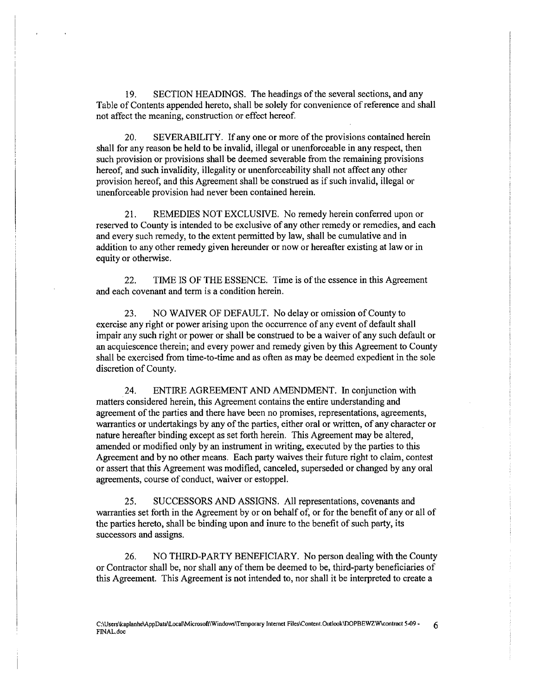19. SECTION HEADINGS. The headings of the several sections, and any Table of Contents appended hereto, shall be solely for convenience of reference and shall not affect the meaning, construction or effect hereof.

20. SEVERABILITY. If any one or more of the provisions contained herein shall for any reason be held to be invalid, illegal or unenforceable in any respect, then such provision or provisions shall be deemed severable from the remaining provisions hereof, and such invalidity, illegality or unenforceability shall not affect any other provision hereof, and this Agreement shall be construed as if such invalid, illegal or unenforceable provision had never been contained herein.

21. REMEDIES NOT EXCLUSIVE. No remedy herein conferred upon or reserved to County is intended to be exclusive of any other remedy or remedies, and each and every such remedy, to the extent permitted by law, shall be cumulative and in addition to any other remedy given hereunder or now or hereafter existing at law or in equity or otherwise.

22. TIME IS OF THE ESSENCE. Time is of the essence in this Agreement and each covenant and term is a condition herein.

23. NO WAIVER OF DEFAULT. No delay or omission of County to exercise any right or power arising upon the occurrence of any event of default shall impair any such right or power or shall be construed to be a waiver of any such default or an acquiescence therein; and every power and remedy given by this Agreement to County shall be exercised from time-to-time and as often as may be deemed expedient in the sole discretion of County.

24. ENTIRE AGREEMENT AND AMENDMENT. In conjunction with matters considered herein, this Agreement contains the entire understanding and agreement of the parties and there have been no promises, representations, agreements, warranties or undertakings by any of the parties, either oral or written, of any character or nature hereafter binding except as set forth herein. This Agreement may be altered, amended or modified only by an instrument in writing, executed by the parties to this Agreement and by no other means. Each patty waives their future right to claim, contest or assert that this Agreement was modified, canceled, superseded or changed by any oral agreements, course of conduct, waiver or estoppel.

25. SUCCESSORS AND ASSIGNS. All representations, covenants and warranties set forth in the Agreement by or on behalf of, or for the benefit of any or all of the paities hereto, shall be binding upon and inure to the benefit of such party, its successors and assigns.

26. NO THIRD-PARTY BENEFICIARY. No person dealing with the County or Contractor shall be, nor shall any of them be deemed to be, third-party beneficiaries of this Agreement. This Agreement is not intended to, nor shall it be interpreted to create a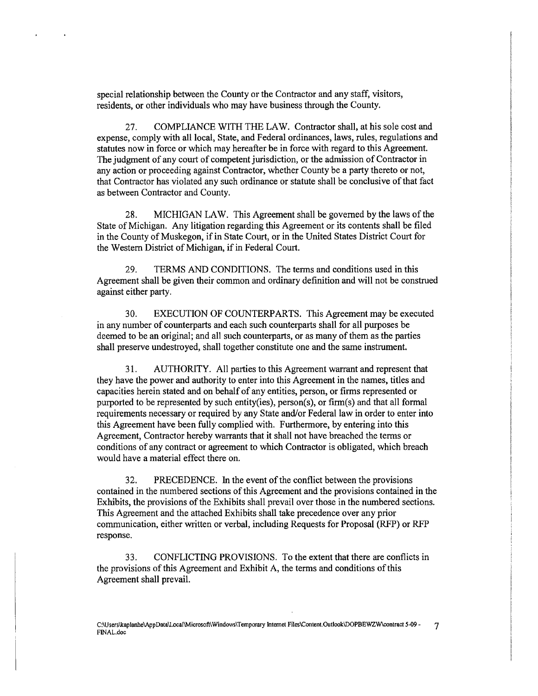special relationship between the County or the Contractor and any staff, visitors, residents, or other individuals who may have business through the County.

27. COMPLIANCE WITH THE LAW. Contractor shall, at his sole cost and expense, comply with all local, State, and Federal ordinances, laws, rules, regulations and statutes now in force or which may hereafter be in force with regard to this Agreement. The judgment of any court of competent jurisdiction, or the admission of Contractor in any action or proceeding against Contractor, whether County be a party thereto or not, that Contractor has violated any such ordinance or statute shall be conclusive of that fact as between Contractor and County.

28. MICHIGAN LAW. This Agreement shall be governed by the laws of the State of Michigan. Any litigation regarding this Agreement or its contents shall be filed in the County of Muskegon, if in State Court, or in the United States District Comt for the Western District of Michigan, if in Federal Court.

29. TERMS AND CONDITIONS. The terms and conditions used in this Agreement shall be given their common and ordinary definition and will not be construed against either party.

30. EXECUTION OF COUNTERPARTS. This Agreement may be executed in any number of counterparts and each such counterparts shall for all purposes be deemed to be an original; and all such counterparts, or as many of them as the parties shall preserve undestroyed, shall together constitute one and the same instrument.

31. AUTHORITY. All parties to this Agreement warrant and represent that they have the power and authority to enter into this Agreement in the names, titles and capacities herein stated and on behalf of any entities, person, or firms represented or purported to be represented by such entity(ies), person(s), or firm(s) and that all formal requirements necessary or required by any State and/or Federal law in order to enter into this Agreement have been fully complied with. Furthermore, by entering into this Agreement, Contractor hereby warrants that it shall not have breached the terms or conditions of any contract or agreement to which Contractor is obligated, which breach would have a material effect there on.

32. PRECEDENCE. In the event of the conflict between the provisions contained in the numbered sections of this Agreement and the provisions contained in the Exhibits, the provisions of the Exhibits shall prevail over those in the numbered sections. This Agreement and the attached Exhibits shall take precedence over any prior communication, either written or verbal, including Requests for Proposal (RFP) or RFP response.

33. CONFLICTING PROVISIONS. To the extent that there are conflicts in the provisions of this Agreement and Exhibit A, the terms and conditions of this Agreement shall prevail.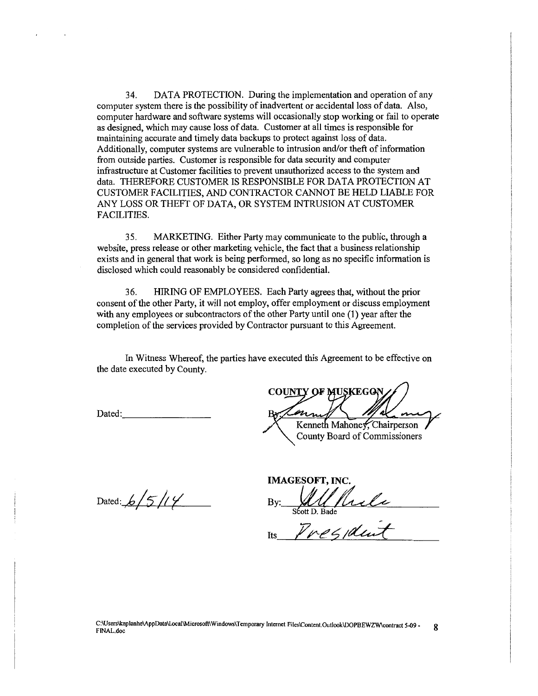34. DATA PROTECTION. Dwing the implementation and operation of any computer system there is the possibility of inadvertent or accidental loss of data. Also, computer hardware and software systems will occasionally stop working or fail to operate as designed, which may cause loss of data. Customer at all times is responsible for maintaining accurate and timely data backups to protect against loss of data. Additionally, computer systems are vulnerable to intrusion and/or theft of information from outside parties. Customer is responsible for data security and computer infrastructure at Customer facilities to prevent unauthorized access to the system and data. THEREFORE CUSTOMER IS RESPONSIBLE FOR DATA PROTECTION AT CUSTOMER FACILITIES, AND CONTRACTOR CANNOT BE HELD LIABLE FOR ANY LOSS OR THEFT OF DATA, OR SYSTEM INTRUSION AT CUSTOMER FACILITIES.

35. MARKETING. Either Party may communicate to the public, through a website, press release or other marketing vehicle, the fact that a business relationship exists and in general that work is being performed, so long as no specific information is disclosed which could reasonably be considered confidential.

36. HIRING OF EMPLOYEES. Each Party agrees that, without the prior consent of the other Patty, it will not employ, offer employment or discuss employment with any employees or subcontractors of the other Party until one (1) year after the completion of the services provided by Contractor pursuant to this Agreement.

In Witness Whereof, the parties have executed this Agreement to be effective on the date executed by County.

Dated: \_\_\_\_\_\_\_ \_

**COUNTY OF MUSKEGO** 

Kenneth Mahoney, Chairperson County Board of Commissioners

Dated:  $6/5/14$ 

IMAGESOFT, INC. By: Willhele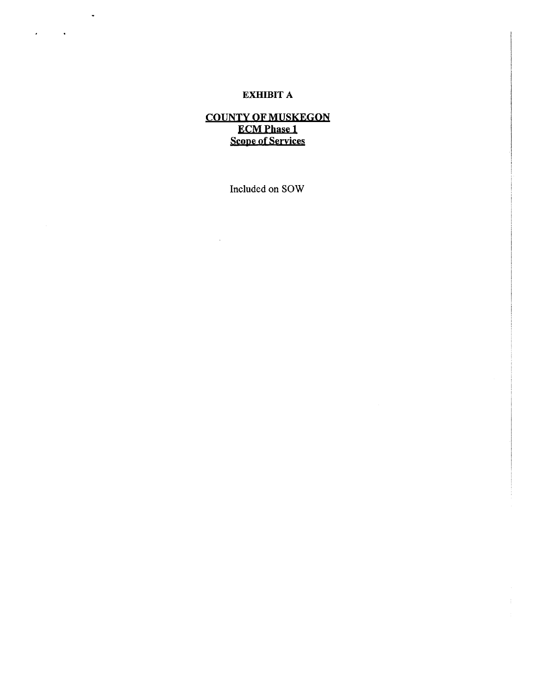# EXHIBIT A

 $\sim 10$ 

 $\label{eq:2} \mathcal{L}^{(1)} = \mathcal{L}^{(1)} \mathcal{L}^{(1)}$ 

# COUNTY OF MUSKEGON ECMPhase 1 Scope of Seryices

Included on SOW

 $\ddot{\phantom{a}}$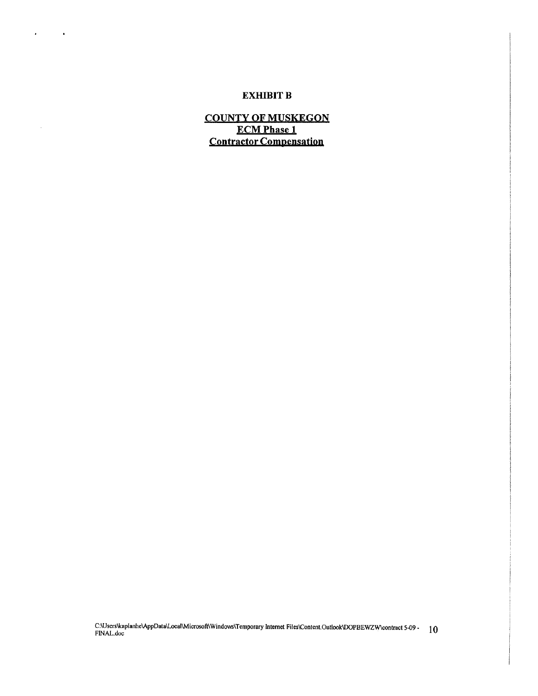### **EXHIBIT B**

 $\mathbf{z} = \mathbf{z} + \mathbf{z}$  .

 $\sim$ 

**COUNTY OF MUSKEGON ECMPhase 1 Contractor Compensatjon**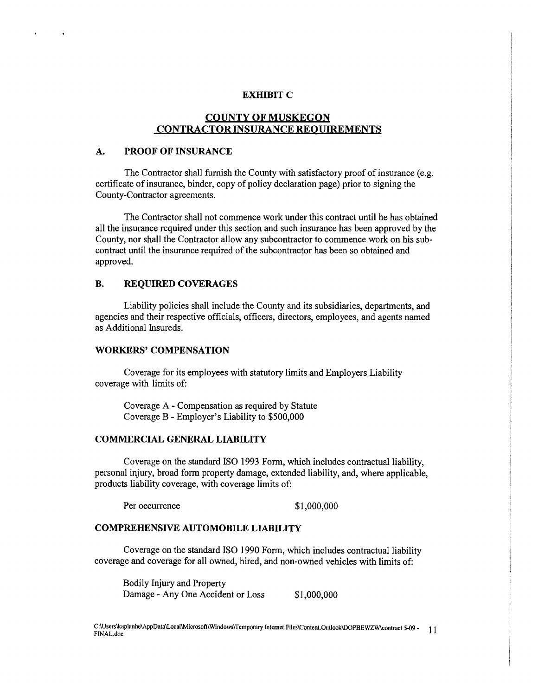#### **EXHIBIT C**

# **COUNTY OF MUSKEGON CONTRACTOR INSURANCE REQUIREMENTS**

#### **A. PROOF OF INSURANCE**

 $\bullet$ 

 $\ddot{\phantom{a}}$ 

The Contractor shall furnish the County with satisfactory proof of insurance (e.g. certificate of insurance, binder, copy of policy declaration page) prior to signing the County-Contractor agreements.

The Contractor shall not commence work under this contract until he has obtained all the insurance required under this section and such insurance has been approved by the County, nor shall the Contractor allow any subcontractor to commence work on his subcontract until the insurance required of the subcontractor has been so obtained and approved.

#### **B. REQUIRED COVERAGES**

Liability policies shall include the County and its subsidiaries, departments, and agencies and their respective officials, officers, directors, employees, and agents named as Additional Insureds.

### **WORKERS' COMPENSATION**

Coverage for its employees with statutory limits and Employers Liability coverage with limits of:

Coverage A - Compensation as required by Statute Coverage B - Employer's Liability to \$500,000

#### **COMMERCIAL GENERAL LIABILITY**

Coverage on the standard ISO 1993 Form, which includes contractual liability, personal injury, broad form property damage, extended liability, and, where applicable, products liability coverage, with coverage limits of:

Per occurrence \$1,000,000

#### **COMPREHENSIVE AUTOMOBILE LIABILITY**

Coverage on the standard ISO 1990 Form, which includes contractual liability coverage and coverage for all owned, hired, and non-owned vehicles with limits of:

Bodily Injury and Property Damage - Any One Accident or Loss \$1,000,000

C:\Users\kaplanhe\AppData\Local\Microsoft\Windows\Temporary Internet Files\Content.Outlook\DOPBEWZW\contract 5-09 - 11 FINAL.doc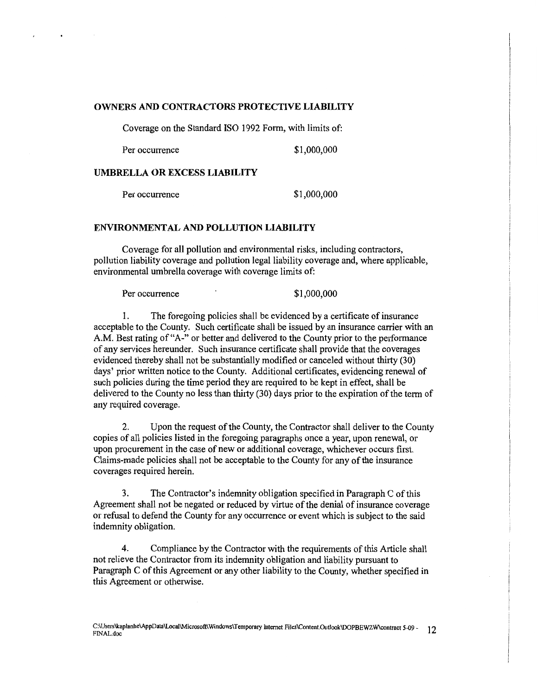#### OWNERS AND CONTRACTORS PROTECTIVE LIABILITY

Coverage on the Standard ISO 1992 Form, with limits of:

Per occurrence  $$1,000,000$ 

#### UMBRELLA OR EXCESS LIABILITY

Per occurrence \$1,000,000

### ENVIRONMENTAL AND POLLUTION LIABILITY

Coverage for all pollution and environmental risks, including contractors, pollution liability coverage and pollution legal liability coverage and, where applicable, environmental umbrella coverage with coverage limits of:

Per occurrence \$1,000,000

1. The foregoing policies shall be evidenced by a certificate of insurance acceptable to the County. Such certificate shall be issued by an insurance carrier with an A.M. Best rating of "A-" or better and delivered to the County prior to the performance of any services hereunder. Such insurance certificate shall provide that the coverages evidenced thereby shall not be substantially modified or canceled without thirty (30) days' prior wtitten notice to the County. Additional certificates, evidencing renewal of such policies during the time period they are required to be kept in effect, shall be delivered to the County no less than thirty (30) days prior to the expiration of the term of any required coverage.

2. Upon the request of the County, the Contractor shall deliver to the County copies of all policies listed in the foregoing paragraphs once a year, upon renewal, or upon procurement in the case of new or additional coverage, whichever occurs first. Claims-made policies shall not be acceptable to the County for any of the insurance coverages required herein.

3. The Contractor's indemnity obligation specified in Paragraph C of this Agreement shall not be negated or reduced by virtue of the denial of insurance coverage or refusal to defend the County for any occurrence or event which is subject to the said indemnity obligation.

4. Compliance by the Contractor with the requirements of this Article shall not relieve the Contractor from its indemnity obligation and liability pursuant to Paragraph C of this Agreement or any other liability to the County, whether specified in this Agreement or otherwise.